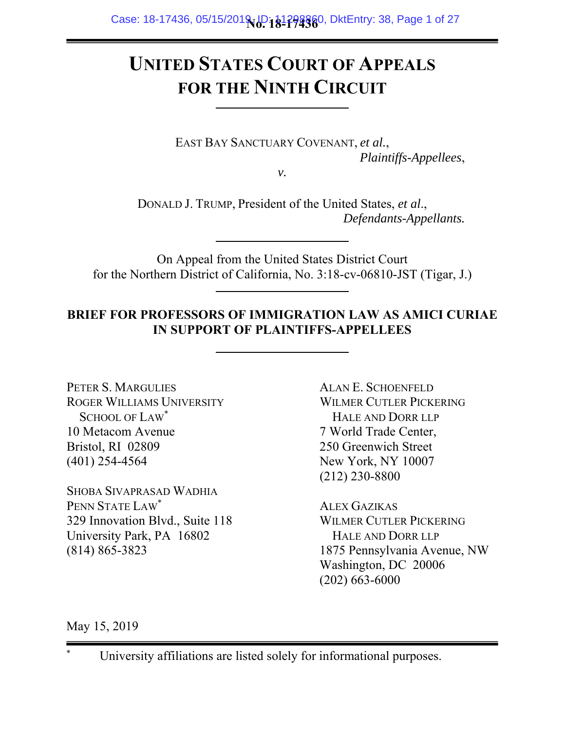# **UNITED STATES COURT OF APPEALS FOR THE NINTH CIRCUIT**

EAST BAY SANCTUARY COVENANT, *et al.*, *Plaintiffs-Appellees*,

*v.* 

DONALD J. TRUMP, President of the United States, *et al*., *Defendants-Appellants.* 

On Appeal from the United States District Court for the Northern District of California, No. 3:18-cv-06810-JST (Tigar, J.)

## **BRIEF FOR PROFESSORS OF IMMIGRATION LAW AS AMICI CURIAE IN SUPPORT OF PLAINTIFFS-APPELLEES**

PETER S. MARGULIES ROGER WILLIAMS UNIVERSITY SCHOOL OF LAW\* 10 Metacom Avenue Bristol, RI 02809 (401) 254-4564

SHOBA SIVAPRASAD WADHIA PENN STATE LAW\* 329 Innovation Blvd., Suite 118 University Park, PA 16802 (814) 865-3823

ALAN E. SCHOENFELD WILMER CUTLER PICKERING HALE AND DORR LLP 7 World Trade Center, 250 Greenwich Street New York, NY 10007 (212) 230-8800

ALEX GAZIKAS WILMER CUTLER PICKERING HALE AND DORR LLP 1875 Pennsylvania Avenue, NW Washington, DC 20006 (202) 663-6000

May 15, 2019

\*

University affiliations are listed solely for informational purposes.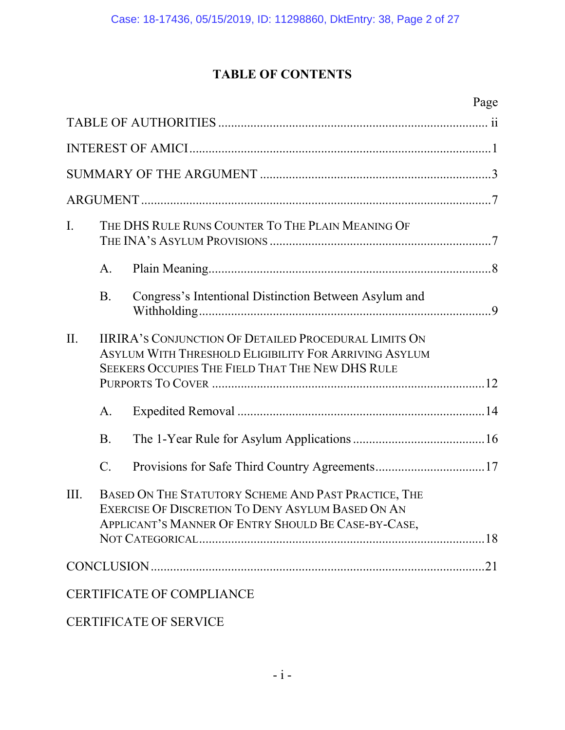# **TABLE OF CONTENTS**

|     |           | Page                                                                                                                                                                             |  |  |  |
|-----|-----------|----------------------------------------------------------------------------------------------------------------------------------------------------------------------------------|--|--|--|
|     |           |                                                                                                                                                                                  |  |  |  |
|     |           |                                                                                                                                                                                  |  |  |  |
|     |           |                                                                                                                                                                                  |  |  |  |
|     |           |                                                                                                                                                                                  |  |  |  |
| I.  |           | THE DHS RULE RUNS COUNTER TO THE PLAIN MEANING OF                                                                                                                                |  |  |  |
|     | A.        |                                                                                                                                                                                  |  |  |  |
|     | <b>B.</b> | Congress's Intentional Distinction Between Asylum and                                                                                                                            |  |  |  |
| II. |           | <b>IIRIRA'S CONJUNCTION OF DETAILED PROCEDURAL LIMITS ON</b><br>ASYLUM WITH THRESHOLD ELIGIBILITY FOR ARRIVING ASYLUM<br><b>SEEKERS OCCUPIES THE FIELD THAT THE NEW DHS RULE</b> |  |  |  |
|     | A.        |                                                                                                                                                                                  |  |  |  |
|     | <b>B.</b> |                                                                                                                                                                                  |  |  |  |
|     | $C$ .     |                                                                                                                                                                                  |  |  |  |
| Ш.  |           | BASED ON THE STATUTORY SCHEME AND PAST PRACTICE, THE<br>EXERCISE OF DISCRETION TO DENY ASYLUM BASED ON AN<br>APPLICANT'S MANNER OF ENTRY SHOULD BE CASE-BY-CASE,                 |  |  |  |
|     |           |                                                                                                                                                                                  |  |  |  |
|     |           | <b>CERTIFICATE OF COMPLIANCE</b>                                                                                                                                                 |  |  |  |
|     |           |                                                                                                                                                                                  |  |  |  |

CERTIFICATE OF SERVICE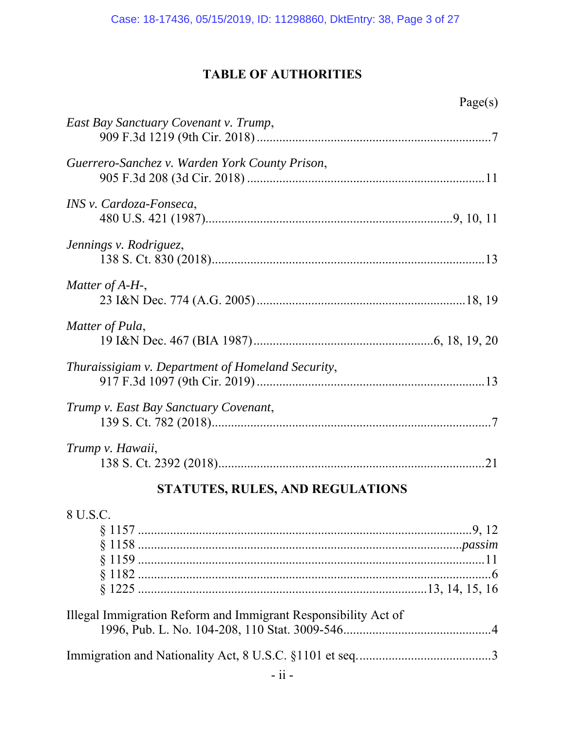## **TABLE OF AUTHORITIES**

Page(s)

| East Bay Sanctuary Covenant v. Trump,                          |  |
|----------------------------------------------------------------|--|
| Guerrero-Sanchez v. Warden York County Prison,                 |  |
| INS v. Cardoza-Fonseca,                                        |  |
| Jennings v. Rodriguez,                                         |  |
| Matter of $A-H$ -,                                             |  |
| Matter of Pula,                                                |  |
| Thuraissigiam v. Department of Homeland Security,              |  |
| Trump v. East Bay Sanctuary Covenant,                          |  |
| Trump v. Hawaii,                                               |  |
| STATUTES, RULES, AND REGULATIONS                               |  |
| 8 U.S.C.                                                       |  |
| Illegal Immigration Reform and Immigrant Responsibility Act of |  |
|                                                                |  |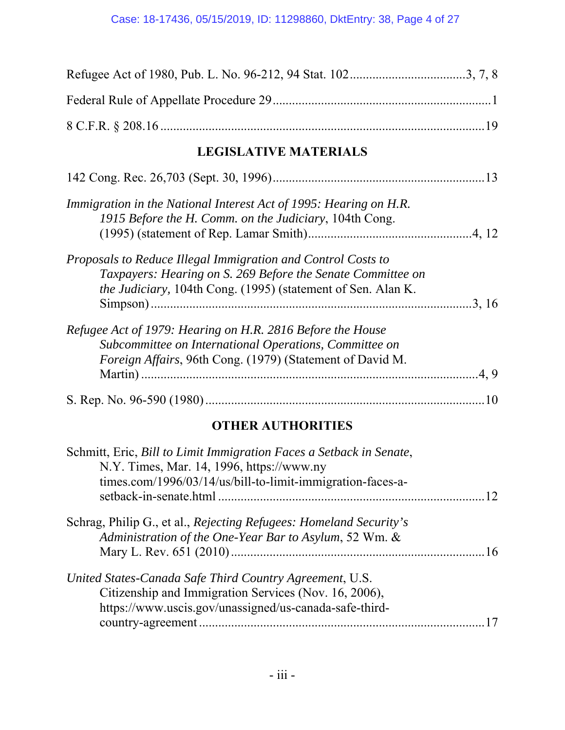| <b>LEGISLATIVE MATERIALS</b>                                                                                                                                                                |
|---------------------------------------------------------------------------------------------------------------------------------------------------------------------------------------------|
|                                                                                                                                                                                             |
| Immigration in the National Interest Act of 1995: Hearing on H.R.<br>1915 Before the H. Comm. on the Judiciary, 104th Cong.                                                                 |
| Proposals to Reduce Illegal Immigration and Control Costs to<br>Taxpayers: Hearing on S. 269 Before the Senate Committee on<br>the Judiciary, 104th Cong. (1995) (statement of Sen. Alan K. |
| Refugee Act of 1979: Hearing on H.R. 2816 Before the House<br>Subcommittee on International Operations, Committee on<br>Foreign Affairs, 96th Cong. (1979) (Statement of David M.           |
|                                                                                                                                                                                             |
| <b>OTHER AUTHORITIES</b>                                                                                                                                                                    |
| Schmitt, Eric, Bill to Limit Immigration Faces a Setback in Senate,<br>N.Y. Times, Mar. 14, 1996, https://www.ny<br>times.com/1996/03/14/us/bill-to-limit-immigration-faces-a-              |
| Schrag, Philip G., et al., Rejecting Refugees: Homeland Security's<br>Administration of the One-Year Bar to Asylum, 52 Wm. &                                                                |

| United States-Canada Safe Third Country Agreement, U.S. |  |
|---------------------------------------------------------|--|
| Citizenship and Immigration Services (Nov. 16, 2006),   |  |
| https://www.uscis.gov/unassigned/us-canada-safe-third-  |  |
|                                                         |  |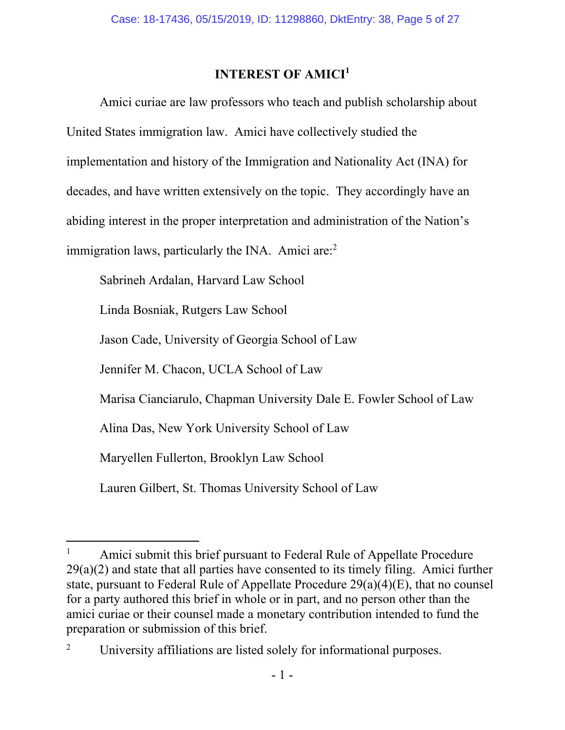## **INTEREST OF AMICI<sup>1</sup>**

Amici curiae are law professors who teach and publish scholarship about United States immigration law. Amici have collectively studied the implementation and history of the Immigration and Nationality Act (INA) for decades, and have written extensively on the topic. They accordingly have an abiding interest in the proper interpretation and administration of the Nation's immigration laws, particularly the INA. Amici are: $<sup>2</sup>$ </sup>

Sabrineh Ardalan, Harvard Law School

Linda Bosniak, Rutgers Law School

Jason Cade, University of Georgia School of Law

Jennifer M. Chacon, UCLA School of Law

Marisa Cianciarulo, Chapman University Dale E. Fowler School of Law

Alina Das, New York University School of Law

Maryellen Fullerton, Brooklyn Law School

 $\overline{a}$ 

Lauren Gilbert, St. Thomas University School of Law

<sup>1</sup> Amici submit this brief pursuant to Federal Rule of Appellate Procedure  $29(a)(2)$  and state that all parties have consented to its timely filing. Amici further state, pursuant to Federal Rule of Appellate Procedure 29(a)(4)(E), that no counsel for a party authored this brief in whole or in part, and no person other than the amici curiae or their counsel made a monetary contribution intended to fund the preparation or submission of this brief.

<sup>2</sup> University affiliations are listed solely for informational purposes.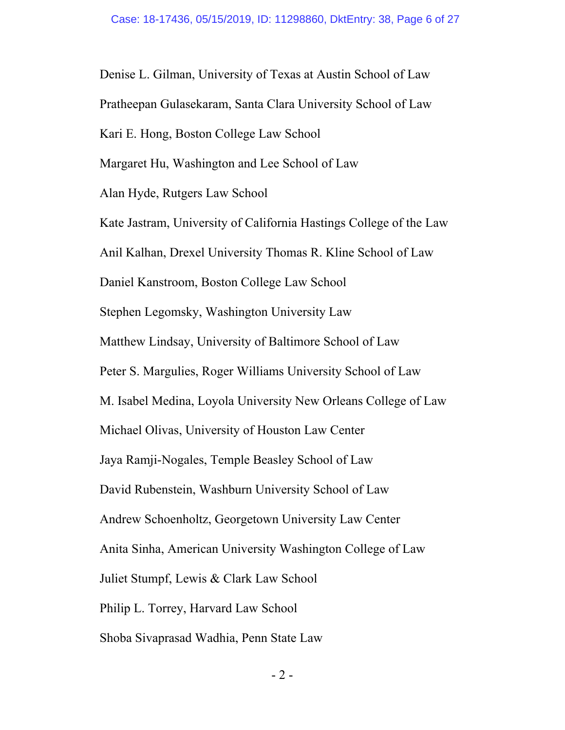Denise L. Gilman, University of Texas at Austin School of Law Pratheepan Gulasekaram, Santa Clara University School of Law Kari E. Hong, Boston College Law School Margaret Hu, Washington and Lee School of Law Alan Hyde, Rutgers Law School Kate Jastram, University of California Hastings College of the Law Anil Kalhan, Drexel University Thomas R. Kline School of Law Daniel Kanstroom, Boston College Law School Stephen Legomsky, Washington University Law Matthew Lindsay, University of Baltimore School of Law Peter S. Margulies, Roger Williams University School of Law M. Isabel Medina, Loyola University New Orleans College of Law Michael Olivas, University of Houston Law Center Jaya Ramji-Nogales, Temple Beasley School of Law David Rubenstein, Washburn University School of Law Andrew Schoenholtz, Georgetown University Law Center Anita Sinha, American University Washington College of Law Juliet Stumpf, Lewis & Clark Law School Philip L. Torrey, Harvard Law School Shoba Sivaprasad Wadhia, Penn State Law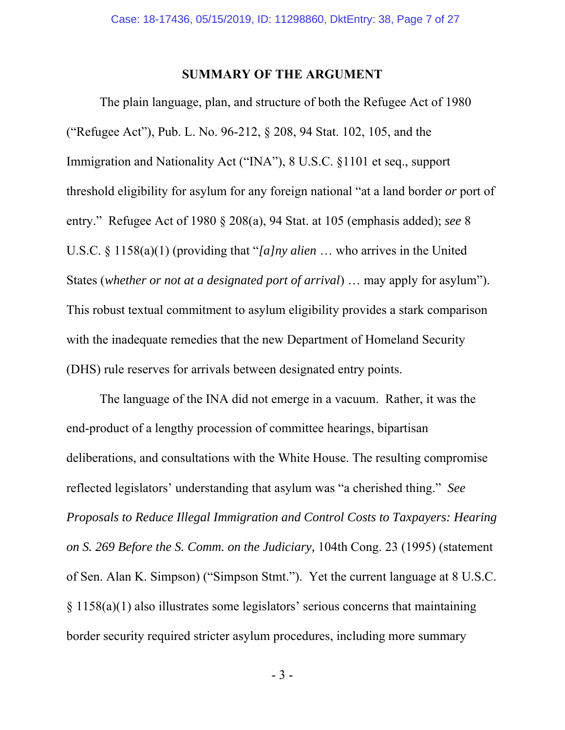#### **SUMMARY OF THE ARGUMENT**

The plain language, plan, and structure of both the Refugee Act of 1980 ("Refugee Act"), Pub. L. No. 96-212, § 208, 94 Stat. 102, 105, and the Immigration and Nationality Act ("INA"), 8 U.S.C. §1101 et seq., support threshold eligibility for asylum for any foreign national "at a land border *or* port of entry." Refugee Act of 1980 § 208(a), 94 Stat. at 105 (emphasis added); *see* 8 U.S.C. § 1158(a)(1) (providing that "*[a]ny alien* … who arrives in the United States (*whether or not at a designated port of arrival*) … may apply for asylum"). This robust textual commitment to asylum eligibility provides a stark comparison with the inadequate remedies that the new Department of Homeland Security (DHS) rule reserves for arrivals between designated entry points.

The language of the INA did not emerge in a vacuum. Rather, it was the end-product of a lengthy procession of committee hearings, bipartisan deliberations, and consultations with the White House. The resulting compromise reflected legislators' understanding that asylum was "a cherished thing." *See Proposals to Reduce Illegal Immigration and Control Costs to Taxpayers: Hearing on S. 269 Before the S. Comm. on the Judiciary,* 104th Cong. 23 (1995) (statement of Sen. Alan K. Simpson) ("Simpson Stmt."). Yet the current language at 8 U.S.C. § 1158(a)(1) also illustrates some legislators' serious concerns that maintaining border security required stricter asylum procedures, including more summary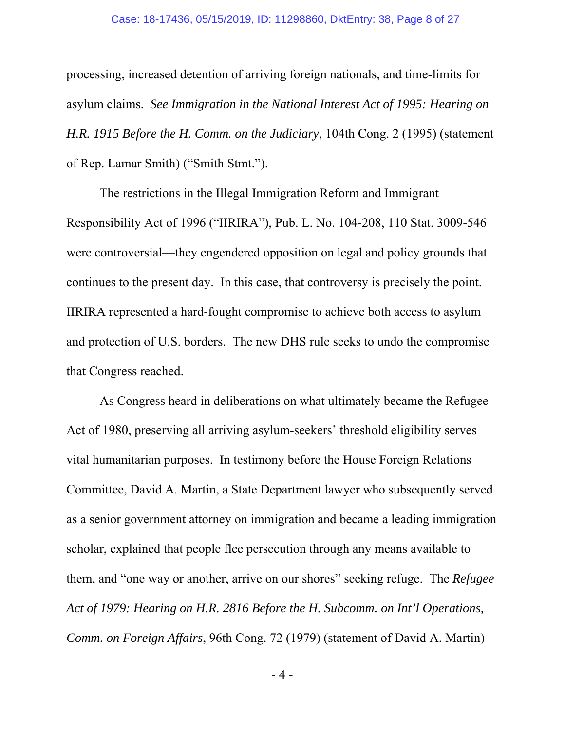processing, increased detention of arriving foreign nationals, and time-limits for asylum claims. *See Immigration in the National Interest Act of 1995: Hearing on H.R. 1915 Before the H. Comm. on the Judiciary*, 104th Cong. 2 (1995) (statement of Rep. Lamar Smith) ("Smith Stmt.").

The restrictions in the Illegal Immigration Reform and Immigrant Responsibility Act of 1996 ("IIRIRA"), Pub. L. No. 104-208, 110 Stat. 3009-546 were controversial—they engendered opposition on legal and policy grounds that continues to the present day. In this case, that controversy is precisely the point. IIRIRA represented a hard-fought compromise to achieve both access to asylum and protection of U.S. borders. The new DHS rule seeks to undo the compromise that Congress reached.

As Congress heard in deliberations on what ultimately became the Refugee Act of 1980, preserving all arriving asylum-seekers' threshold eligibility serves vital humanitarian purposes. In testimony before the House Foreign Relations Committee, David A. Martin, a State Department lawyer who subsequently served as a senior government attorney on immigration and became a leading immigration scholar, explained that people flee persecution through any means available to them, and "one way or another, arrive on our shores" seeking refuge. The *Refugee Act of 1979: Hearing on H.R. 2816 Before the H. Subcomm. on Int'l Operations, Comm. on Foreign Affairs*, 96th Cong. 72 (1979) (statement of David A. Martin)

- 4 -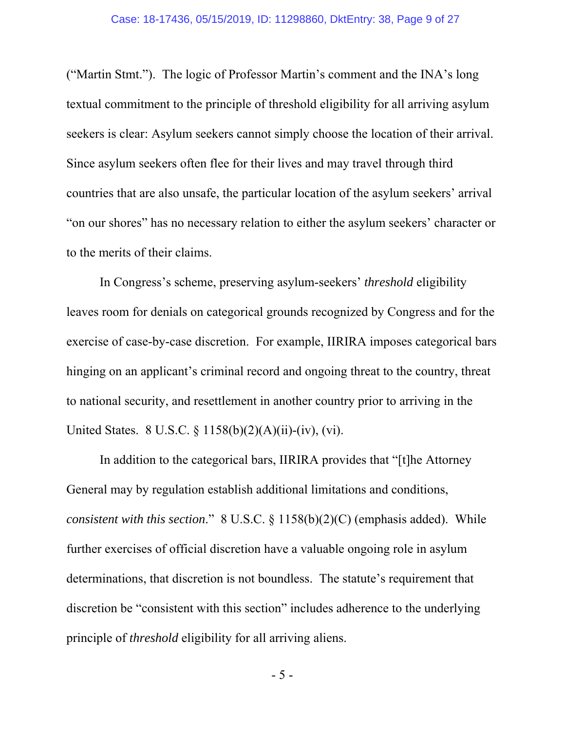("Martin Stmt."). The logic of Professor Martin's comment and the INA's long textual commitment to the principle of threshold eligibility for all arriving asylum seekers is clear: Asylum seekers cannot simply choose the location of their arrival. Since asylum seekers often flee for their lives and may travel through third countries that are also unsafe, the particular location of the asylum seekers' arrival "on our shores" has no necessary relation to either the asylum seekers' character or to the merits of their claims.

In Congress's scheme, preserving asylum-seekers' *threshold* eligibility leaves room for denials on categorical grounds recognized by Congress and for the exercise of case-by-case discretion. For example, IIRIRA imposes categorical bars hinging on an applicant's criminal record and ongoing threat to the country, threat to national security, and resettlement in another country prior to arriving in the United States. 8 U.S.C. § 1158(b)(2)(A)(ii)-(iv), (vi).

In addition to the categorical bars, IIRIRA provides that "[t]he Attorney General may by regulation establish additional limitations and conditions, *consistent with this section*." 8 U.S.C. § 1158(b)(2)(C) (emphasis added). While further exercises of official discretion have a valuable ongoing role in asylum determinations, that discretion is not boundless. The statute's requirement that discretion be "consistent with this section" includes adherence to the underlying principle of *threshold* eligibility for all arriving aliens.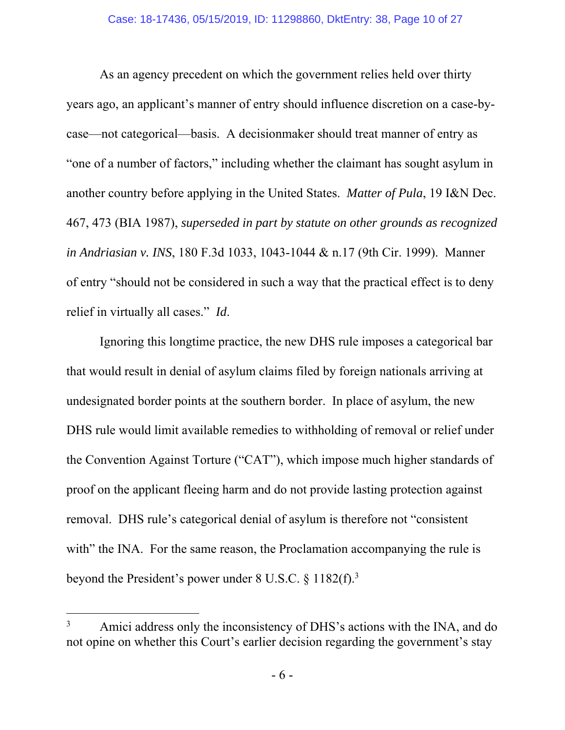As an agency precedent on which the government relies held over thirty years ago, an applicant's manner of entry should influence discretion on a case-bycase—not categorical—basis. A decisionmaker should treat manner of entry as "one of a number of factors," including whether the claimant has sought asylum in another country before applying in the United States. *Matter of Pula*, 19 I&N Dec. 467, 473 (BIA 1987), *superseded in part by statute on other grounds as recognized in Andriasian v. INS*, 180 F.3d 1033, 1043-1044 & n.17 (9th Cir. 1999). Manner of entry "should not be considered in such a way that the practical effect is to deny relief in virtually all cases." *Id*.

Ignoring this longtime practice, the new DHS rule imposes a categorical bar that would result in denial of asylum claims filed by foreign nationals arriving at undesignated border points at the southern border. In place of asylum, the new DHS rule would limit available remedies to withholding of removal or relief under the Convention Against Torture ("CAT"), which impose much higher standards of proof on the applicant fleeing harm and do not provide lasting protection against removal. DHS rule's categorical denial of asylum is therefore not "consistent with" the INA. For the same reason, the Proclamation accompanying the rule is beyond the President's power under  $8 \text{ U.S.C. } 8 \text{ 1182(f).}^3$ 

 $\overline{a}$ 

<sup>3</sup> Amici address only the inconsistency of DHS's actions with the INA, and do not opine on whether this Court's earlier decision regarding the government's stay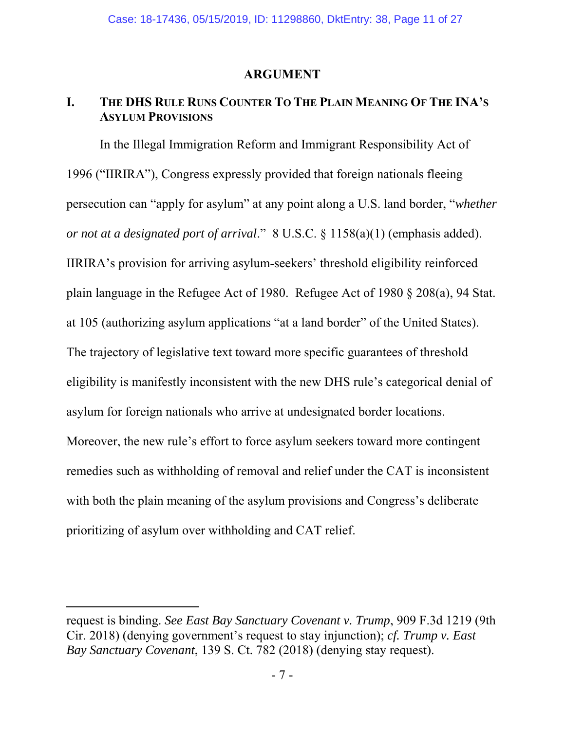#### **ARGUMENT**

## **I. THE DHS RULE RUNS COUNTER TO THE PLAIN MEANING OF THE INA'S ASYLUM PROVISIONS**

In the Illegal Immigration Reform and Immigrant Responsibility Act of 1996 ("IIRIRA"), Congress expressly provided that foreign nationals fleeing persecution can "apply for asylum" at any point along a U.S. land border, "*whether or not at a designated port of arrival*." 8 U.S.C. § 1158(a)(1) (emphasis added). IIRIRA's provision for arriving asylum-seekers' threshold eligibility reinforced plain language in the Refugee Act of 1980. Refugee Act of 1980 § 208(a), 94 Stat. at 105 (authorizing asylum applications "at a land border" of the United States). The trajectory of legislative text toward more specific guarantees of threshold eligibility is manifestly inconsistent with the new DHS rule's categorical denial of asylum for foreign nationals who arrive at undesignated border locations. Moreover, the new rule's effort to force asylum seekers toward more contingent remedies such as withholding of removal and relief under the CAT is inconsistent with both the plain meaning of the asylum provisions and Congress's deliberate prioritizing of asylum over withholding and CAT relief.

 $\overline{a}$ 

request is binding. *See East Bay Sanctuary Covenant v. Trump*, 909 F.3d 1219 (9th Cir. 2018) (denying government's request to stay injunction); *cf. Trump v. East Bay Sanctuary Covenant*, 139 S. Ct. 782 (2018) (denying stay request).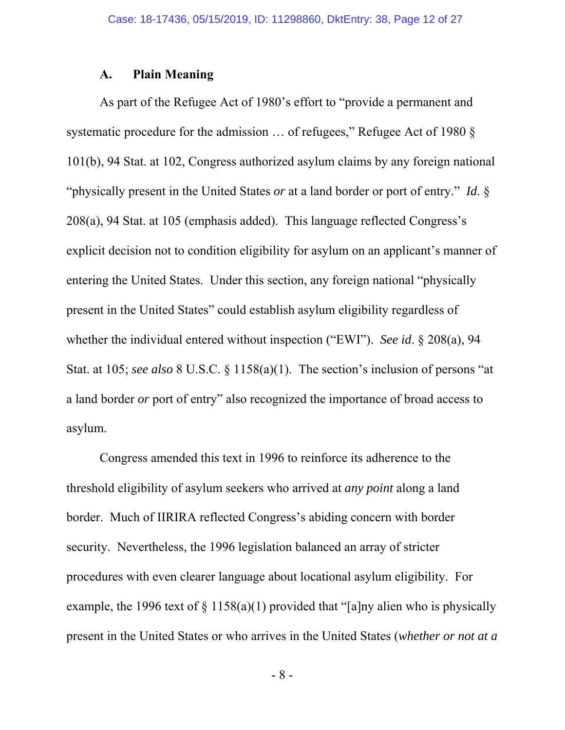#### **A. Plain Meaning**

As part of the Refugee Act of 1980's effort to "provide a permanent and systematic procedure for the admission … of refugees," Refugee Act of 1980 § 101(b), 94 Stat. at 102, Congress authorized asylum claims by any foreign national "physically present in the United States *or* at a land border or port of entry." *Id*. § 208(a), 94 Stat. at 105 (emphasis added). This language reflected Congress's explicit decision not to condition eligibility for asylum on an applicant's manner of entering the United States. Under this section, any foreign national "physically present in the United States" could establish asylum eligibility regardless of whether the individual entered without inspection ("EWI"). *See id*. § 208(a), 94 Stat. at 105; *see also* 8 U.S.C. § 1158(a)(1). The section's inclusion of persons "at a land border *or* port of entry" also recognized the importance of broad access to asylum.

Congress amended this text in 1996 to reinforce its adherence to the threshold eligibility of asylum seekers who arrived at *any point* along a land border. Much of IIRIRA reflected Congress's abiding concern with border security. Nevertheless, the 1996 legislation balanced an array of stricter procedures with even clearer language about locational asylum eligibility. For example, the 1996 text of  $\S 1158(a)(1)$  provided that "[a]ny alien who is physically present in the United States or who arrives in the United States (*whether or not at a* 

- 8 -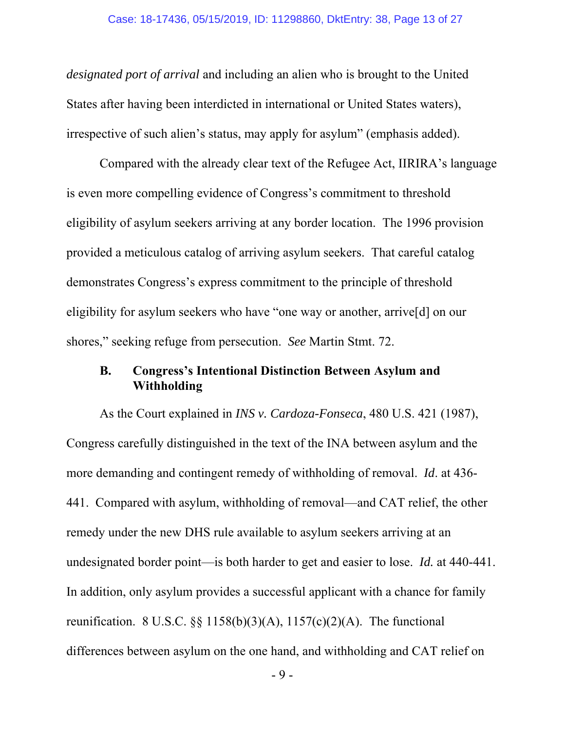*designated port of arrival* and including an alien who is brought to the United States after having been interdicted in international or United States waters), irrespective of such alien's status, may apply for asylum" (emphasis added).

Compared with the already clear text of the Refugee Act, IIRIRA's language is even more compelling evidence of Congress's commitment to threshold eligibility of asylum seekers arriving at any border location. The 1996 provision provided a meticulous catalog of arriving asylum seekers. That careful catalog demonstrates Congress's express commitment to the principle of threshold eligibility for asylum seekers who have "one way or another, arrive[d] on our shores," seeking refuge from persecution. *See* Martin Stmt. 72.

#### **B. Congress's Intentional Distinction Between Asylum and Withholding**

As the Court explained in *INS v. Cardoza-Fonseca*, 480 U.S. 421 (1987), Congress carefully distinguished in the text of the INA between asylum and the more demanding and contingent remedy of withholding of removal. *Id*. at 436- 441. Compared with asylum, withholding of removal—and CAT relief, the other remedy under the new DHS rule available to asylum seekers arriving at an undesignated border point—is both harder to get and easier to lose. *Id.* at 440-441. In addition, only asylum provides a successful applicant with a chance for family reunification. 8 U.S.C.  $\S$  1158(b)(3)(A), 1157(c)(2)(A). The functional differences between asylum on the one hand, and withholding and CAT relief on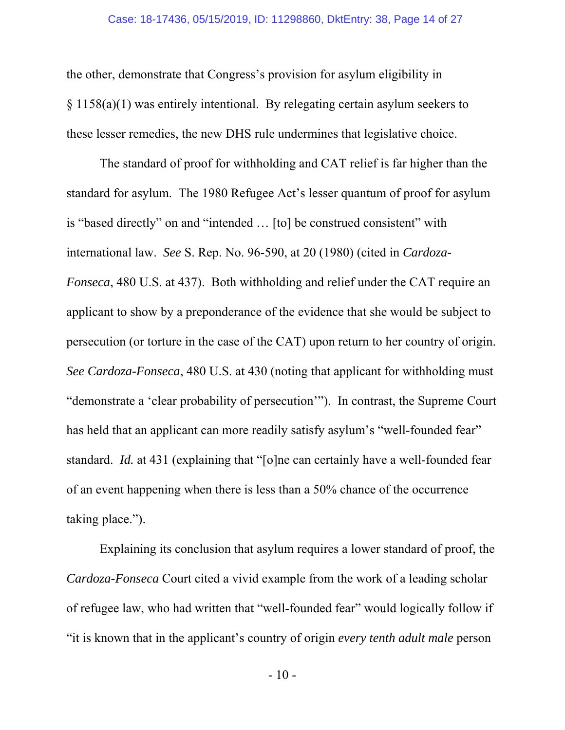the other, demonstrate that Congress's provision for asylum eligibility in § 1158(a)(1) was entirely intentional. By relegating certain asylum seekers to these lesser remedies, the new DHS rule undermines that legislative choice.

The standard of proof for withholding and CAT relief is far higher than the standard for asylum. The 1980 Refugee Act's lesser quantum of proof for asylum is "based directly" on and "intended … [to] be construed consistent" with international law. *See* S. Rep. No. 96-590, at 20 (1980) (cited in *Cardoza-Fonseca*, 480 U.S. at 437). Both withholding and relief under the CAT require an applicant to show by a preponderance of the evidence that she would be subject to persecution (or torture in the case of the CAT) upon return to her country of origin. *See Cardoza-Fonseca*, 480 U.S. at 430 (noting that applicant for withholding must "demonstrate a 'clear probability of persecution'"). In contrast, the Supreme Court has held that an applicant can more readily satisfy asylum's "well-founded fear" standard. *Id.* at 431 (explaining that "[o]ne can certainly have a well-founded fear of an event happening when there is less than a 50% chance of the occurrence taking place.").

Explaining its conclusion that asylum requires a lower standard of proof, the *Cardoza-Fonseca* Court cited a vivid example from the work of a leading scholar of refugee law, who had written that "well-founded fear" would logically follow if "it is known that in the applicant's country of origin *every tenth adult male* person

 $-10-$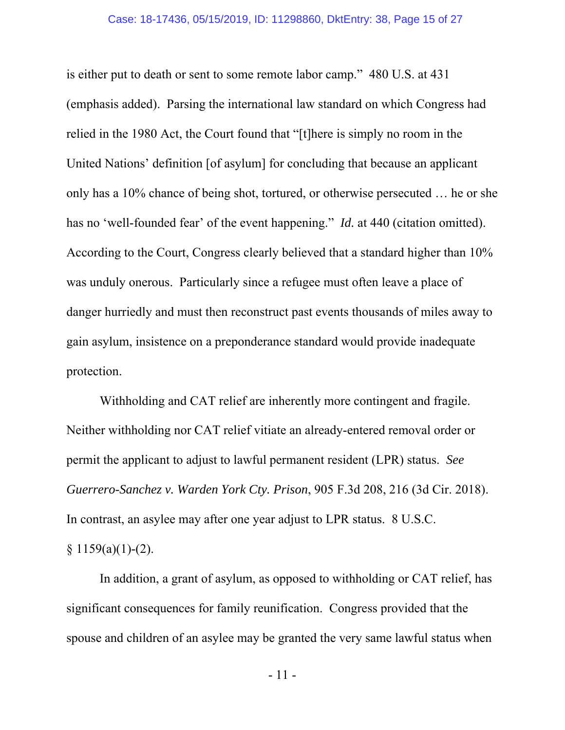is either put to death or sent to some remote labor camp." 480 U.S. at 431 (emphasis added). Parsing the international law standard on which Congress had relied in the 1980 Act, the Court found that "[t]here is simply no room in the United Nations' definition [of asylum] for concluding that because an applicant only has a 10% chance of being shot, tortured, or otherwise persecuted … he or she has no 'well-founded fear' of the event happening." *Id.* at 440 (citation omitted). According to the Court, Congress clearly believed that a standard higher than 10% was unduly onerous. Particularly since a refugee must often leave a place of danger hurriedly and must then reconstruct past events thousands of miles away to gain asylum, insistence on a preponderance standard would provide inadequate protection.

Withholding and CAT relief are inherently more contingent and fragile. Neither withholding nor CAT relief vitiate an already-entered removal order or permit the applicant to adjust to lawful permanent resident (LPR) status. *See Guerrero-Sanchez v. Warden York Cty. Prison*, 905 F.3d 208, 216 (3d Cir. 2018). In contrast, an asylee may after one year adjust to LPR status. 8 U.S.C.  $§ 1159(a)(1)-(2).$ 

In addition, a grant of asylum, as opposed to withholding or CAT relief, has significant consequences for family reunification. Congress provided that the spouse and children of an asylee may be granted the very same lawful status when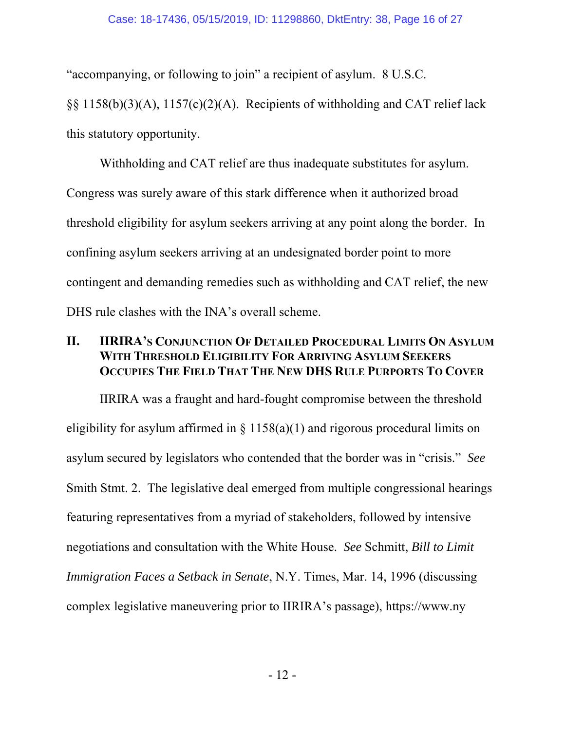"accompanying, or following to join" a recipient of asylum. 8 U.S.C.

§§ 1158(b)(3)(A), 1157(c)(2)(A). Recipients of withholding and CAT relief lack this statutory opportunity.

Withholding and CAT relief are thus inadequate substitutes for asylum. Congress was surely aware of this stark difference when it authorized broad threshold eligibility for asylum seekers arriving at any point along the border. In confining asylum seekers arriving at an undesignated border point to more contingent and demanding remedies such as withholding and CAT relief, the new DHS rule clashes with the INA's overall scheme.

## **II. IIRIRA'S CONJUNCTION OF DETAILED PROCEDURAL LIMITS ON ASYLUM WITH THRESHOLD ELIGIBILITY FOR ARRIVING ASYLUM SEEKERS OCCUPIES THE FIELD THAT THE NEW DHS RULE PURPORTS TO COVER**

IIRIRA was a fraught and hard-fought compromise between the threshold eligibility for asylum affirmed in  $\S$  1158(a)(1) and rigorous procedural limits on asylum secured by legislators who contended that the border was in "crisis." *See*  Smith Stmt. 2. The legislative deal emerged from multiple congressional hearings featuring representatives from a myriad of stakeholders, followed by intensive negotiations and consultation with the White House. *See* Schmitt, *Bill to Limit Immigration Faces a Setback in Senate*, N.Y. Times, Mar. 14, 1996 (discussing complex legislative maneuvering prior to IIRIRA's passage), https://www.ny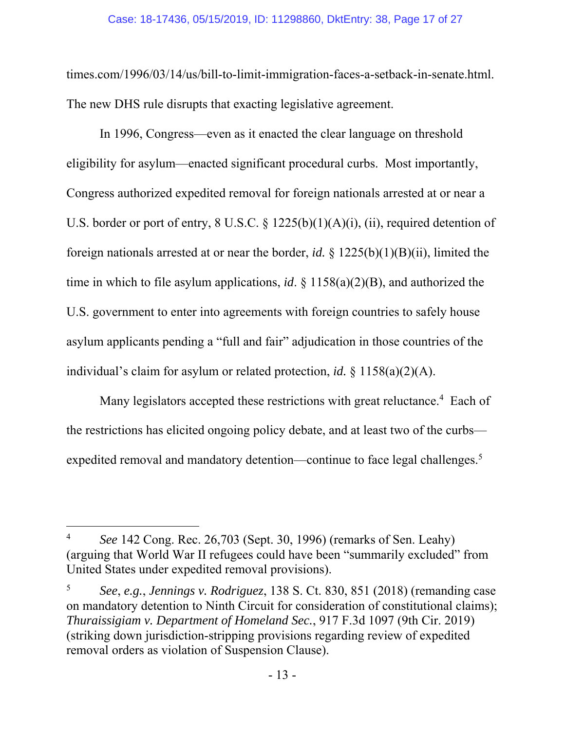times.com/1996/03/14/us/bill-to-limit-immigration-faces-a-setback-in-senate.html. The new DHS rule disrupts that exacting legislative agreement.

In 1996, Congress—even as it enacted the clear language on threshold eligibility for asylum—enacted significant procedural curbs. Most importantly, Congress authorized expedited removal for foreign nationals arrested at or near a U.S. border or port of entry,  $8 \text{ U.S.C. } 8 \frac{1225(b)(1)(A)(i)}{i}$ , (ii), required detention of foreign nationals arrested at or near the border, *id.* § 1225(b)(1)(B)(ii), limited the time in which to file asylum applications, *id*. § 1158(a)(2)(B), and authorized the U.S. government to enter into agreements with foreign countries to safely house asylum applicants pending a "full and fair" adjudication in those countries of the individual's claim for asylum or related protection, *id.* § 1158(a)(2)(A).

Many legislators accepted these restrictions with great reluctance.<sup>4</sup> Each of the restrictions has elicited ongoing policy debate, and at least two of the curbs expedited removal and mandatory detention—continue to face legal challenges.<sup>5</sup>

 $\overline{a}$ 

<sup>4</sup> *See* 142 Cong. Rec. 26,703 (Sept. 30, 1996) (remarks of Sen. Leahy) (arguing that World War II refugees could have been "summarily excluded" from United States under expedited removal provisions).

<sup>5</sup> *See*, *e.g.*, *Jennings v. Rodriguez*, 138 S. Ct. 830, 851 (2018) (remanding case on mandatory detention to Ninth Circuit for consideration of constitutional claims); *Thuraissigiam v. Department of Homeland Sec.*, 917 F.3d 1097 (9th Cir. 2019) (striking down jurisdiction-stripping provisions regarding review of expedited removal orders as violation of Suspension Clause).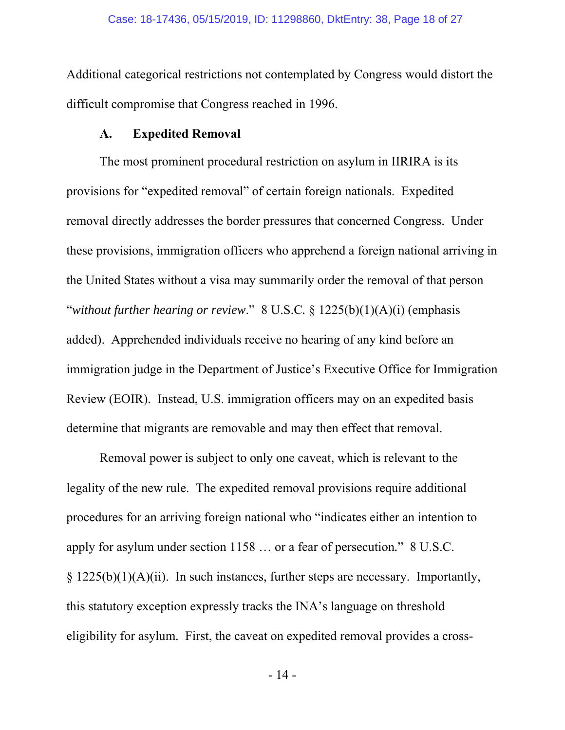Additional categorical restrictions not contemplated by Congress would distort the difficult compromise that Congress reached in 1996.

#### **A. Expedited Removal**

The most prominent procedural restriction on asylum in IIRIRA is its provisions for "expedited removal" of certain foreign nationals. Expedited removal directly addresses the border pressures that concerned Congress. Under these provisions, immigration officers who apprehend a foreign national arriving in the United States without a visa may summarily order the removal of that person "*without further hearing or review*." 8 U.S.C*.* § 1225(b)(1)(A)(i) (emphasis added). Apprehended individuals receive no hearing of any kind before an immigration judge in the Department of Justice's Executive Office for Immigration Review (EOIR). Instead, U.S. immigration officers may on an expedited basis determine that migrants are removable and may then effect that removal.

Removal power is subject to only one caveat, which is relevant to the legality of the new rule. The expedited removal provisions require additional procedures for an arriving foreign national who "indicates either an intention to apply for asylum under section 1158 … or a fear of persecution*.*" 8 U.S.C.  $\S 1225(b)(1)(A)(ii)$ . In such instances, further steps are necessary. Importantly, this statutory exception expressly tracks the INA's language on threshold eligibility for asylum. First, the caveat on expedited removal provides a cross-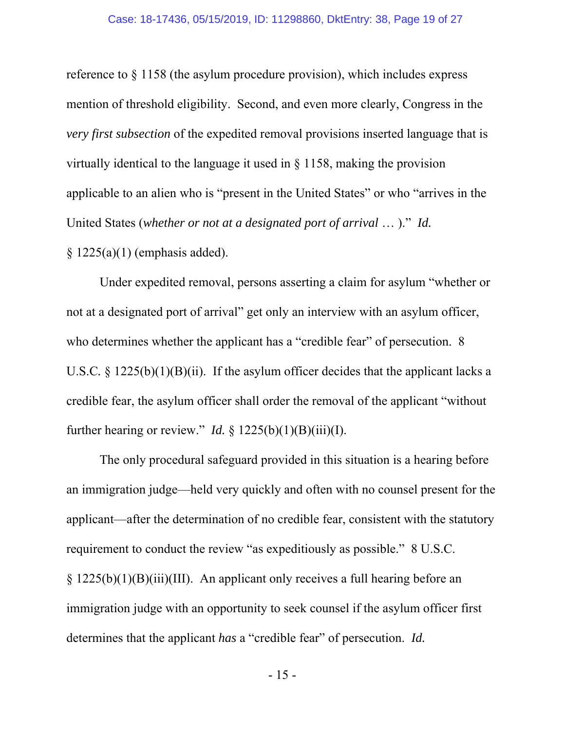reference to § 1158 (the asylum procedure provision), which includes express mention of threshold eligibility. Second, and even more clearly, Congress in the *very first subsection* of the expedited removal provisions inserted language that is virtually identical to the language it used in § 1158, making the provision applicable to an alien who is "present in the United States" or who "arrives in the United States (*whether or not at a designated port of arrival* … )." *Id.* 

§ 1225(a)(1) (emphasis added).

Under expedited removal, persons asserting a claim for asylum "whether or not at a designated port of arrival" get only an interview with an asylum officer, who determines whether the applicant has a "credible fear" of persecution. 8 U.S.C. § 1225(b)(1)(B)(ii). If the asylum officer decides that the applicant lacks a credible fear, the asylum officer shall order the removal of the applicant "without further hearing or review." *Id.* §  $1225(b)(1)(B)(iii)(I)$ .

The only procedural safeguard provided in this situation is a hearing before an immigration judge—held very quickly and often with no counsel present for the applicant—after the determination of no credible fear, consistent with the statutory requirement to conduct the review "as expeditiously as possible." 8 U.S.C. § 1225(b)(1)(B)(iii)(III). An applicant only receives a full hearing before an immigration judge with an opportunity to seek counsel if the asylum officer first determines that the applicant *has* a "credible fear" of persecution. *Id.*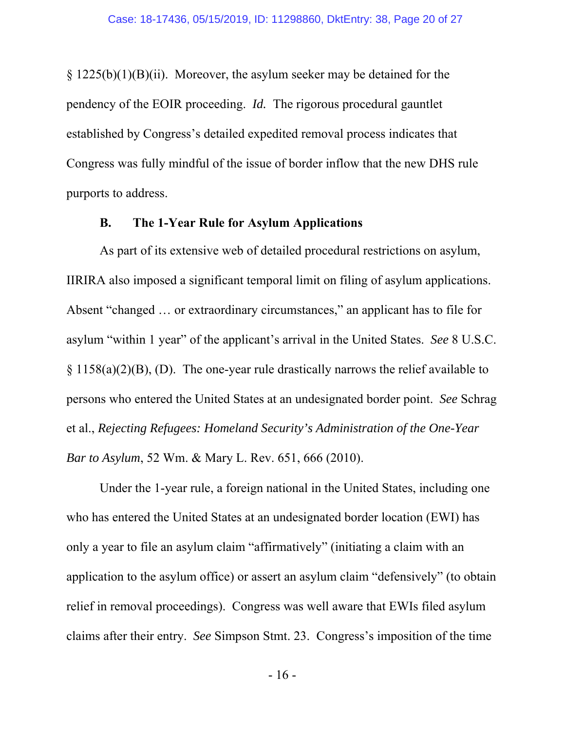$\S 1225(b)(1)(B)(ii)$ . Moreover, the asylum seeker may be detained for the pendency of the EOIR proceeding. *Id.* The rigorous procedural gauntlet established by Congress's detailed expedited removal process indicates that Congress was fully mindful of the issue of border inflow that the new DHS rule purports to address.

#### **B. The 1-Year Rule for Asylum Applications**

As part of its extensive web of detailed procedural restrictions on asylum, IIRIRA also imposed a significant temporal limit on filing of asylum applications. Absent "changed … or extraordinary circumstances," an applicant has to file for asylum "within 1 year" of the applicant's arrival in the United States. *See* 8 U.S.C. § 1158(a)(2)(B), (D). The one-year rule drastically narrows the relief available to persons who entered the United States at an undesignated border point. *See* Schrag et al., *Rejecting Refugees: Homeland Security's Administration of the One-Year Bar to Asylum*, 52 Wm. & Mary L. Rev. 651, 666 (2010).

Under the 1-year rule, a foreign national in the United States, including one who has entered the United States at an undesignated border location (EWI) has only a year to file an asylum claim "affirmatively" (initiating a claim with an application to the asylum office) or assert an asylum claim "defensively" (to obtain relief in removal proceedings). Congress was well aware that EWIs filed asylum claims after their entry. *See* Simpson Stmt. 23. Congress's imposition of the time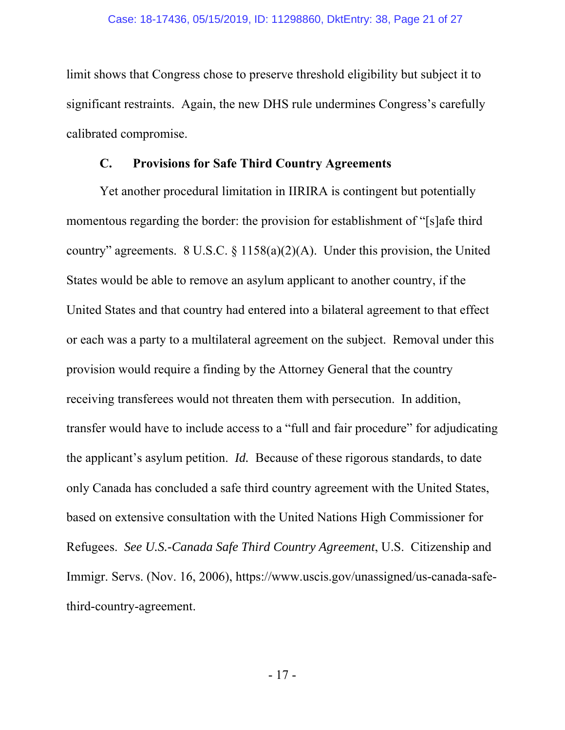limit shows that Congress chose to preserve threshold eligibility but subject it to significant restraints. Again, the new DHS rule undermines Congress's carefully calibrated compromise.

#### **C. Provisions for Safe Third Country Agreements**

Yet another procedural limitation in IIRIRA is contingent but potentially momentous regarding the border: the provision for establishment of "[s]afe third country" agreements. 8 U.S.C.  $\S$  1158(a)(2)(A). Under this provision, the United States would be able to remove an asylum applicant to another country, if the United States and that country had entered into a bilateral agreement to that effect or each was a party to a multilateral agreement on the subject. Removal under this provision would require a finding by the Attorney General that the country receiving transferees would not threaten them with persecution. In addition, transfer would have to include access to a "full and fair procedure" for adjudicating the applicant's asylum petition. *Id.* Because of these rigorous standards, to date only Canada has concluded a safe third country agreement with the United States, based on extensive consultation with the United Nations High Commissioner for Refugees. *See U.S.-Canada Safe Third Country Agreement*, U.S. Citizenship and Immigr. Servs. (Nov. 16, 2006), https://www.uscis.gov/unassigned/us-canada-safethird-country-agreement.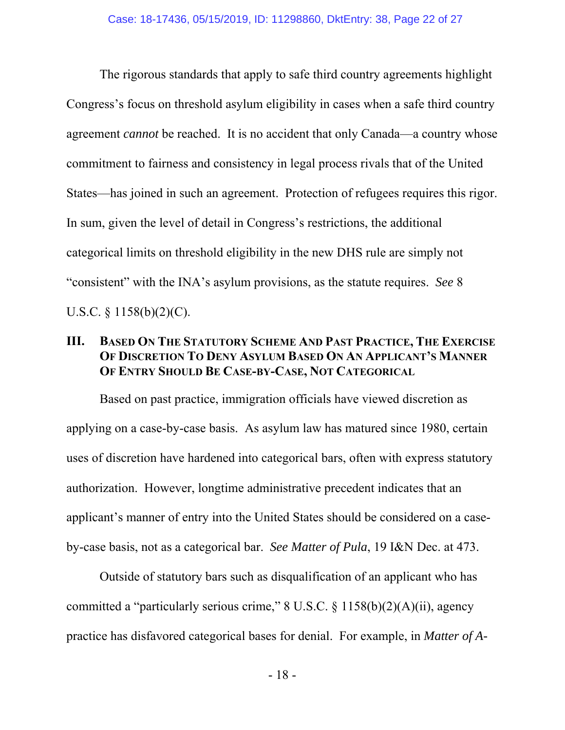The rigorous standards that apply to safe third country agreements highlight Congress's focus on threshold asylum eligibility in cases when a safe third country agreement *cannot* be reached. It is no accident that only Canada—a country whose commitment to fairness and consistency in legal process rivals that of the United States—has joined in such an agreement. Protection of refugees requires this rigor. In sum, given the level of detail in Congress's restrictions, the additional categorical limits on threshold eligibility in the new DHS rule are simply not "consistent" with the INA's asylum provisions, as the statute requires. *See* 8 U.S.C. § 1158(b)(2)(C).

## **III. BASED ON THE STATUTORY SCHEME AND PAST PRACTICE, THE EXERCISE OF DISCRETION TO DENY ASYLUM BASED ON AN APPLICANT'S MANNER OF ENTRY SHOULD BE CASE-BY-CASE, NOT CATEGORICAL**

Based on past practice, immigration officials have viewed discretion as applying on a case-by-case basis. As asylum law has matured since 1980, certain uses of discretion have hardened into categorical bars, often with express statutory authorization. However, longtime administrative precedent indicates that an applicant's manner of entry into the United States should be considered on a caseby-case basis, not as a categorical bar. *See Matter of Pula*, 19 I&N Dec. at 473.

Outside of statutory bars such as disqualification of an applicant who has committed a "particularly serious crime,"  $8 \text{ U.S.C.} \$  $1158(b)(2)(\text{A})(\text{ii})$ , agency practice has disfavored categorical bases for denial. For example, in *Matter of A-*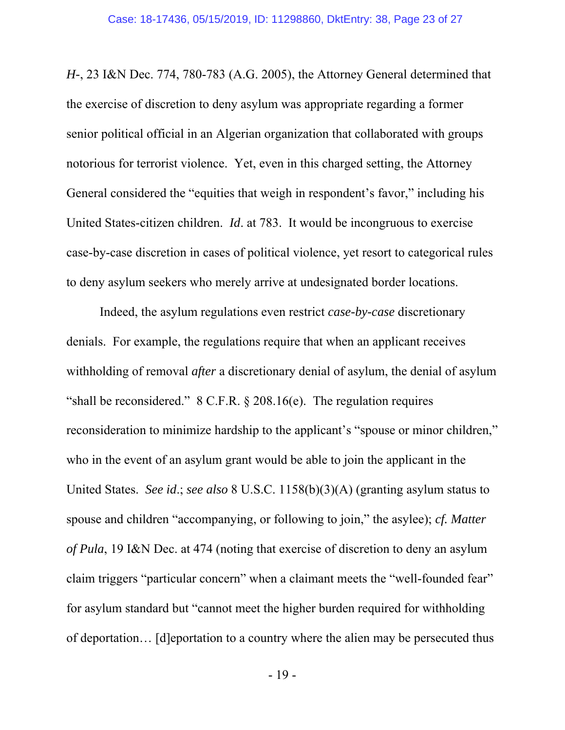*H-*, 23 I&N Dec. 774, 780-783 (A.G. 2005), the Attorney General determined that the exercise of discretion to deny asylum was appropriate regarding a former senior political official in an Algerian organization that collaborated with groups notorious for terrorist violence. Yet, even in this charged setting, the Attorney General considered the "equities that weigh in respondent's favor," including his United States-citizen children. *Id*. at 783. It would be incongruous to exercise case-by-case discretion in cases of political violence, yet resort to categorical rules to deny asylum seekers who merely arrive at undesignated border locations.

Indeed, the asylum regulations even restrict *case-by-case* discretionary denials. For example, the regulations require that when an applicant receives withholding of removal *after* a discretionary denial of asylum, the denial of asylum "shall be reconsidered."  $8 \text{ C.F.R.}$   $\S 208.16(e)$ . The regulation requires reconsideration to minimize hardship to the applicant's "spouse or minor children," who in the event of an asylum grant would be able to join the applicant in the United States. *See id*.; *see also* 8 U.S.C. 1158(b)(3)(A) (granting asylum status to spouse and children "accompanying, or following to join," the asylee); *cf. Matter of Pula*, 19 I&N Dec. at 474 (noting that exercise of discretion to deny an asylum claim triggers "particular concern" when a claimant meets the "well-founded fear" for asylum standard but "cannot meet the higher burden required for withholding of deportation… [d]eportation to a country where the alien may be persecuted thus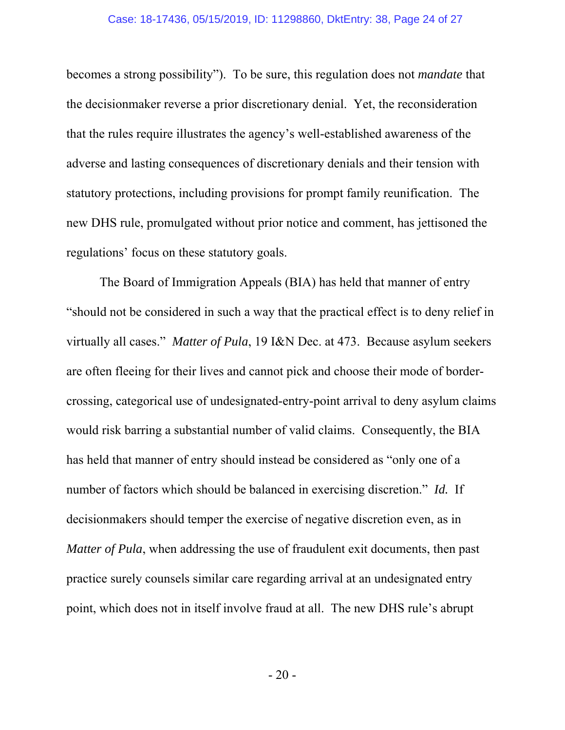becomes a strong possibility"). To be sure, this regulation does not *mandate* that the decisionmaker reverse a prior discretionary denial. Yet, the reconsideration that the rules require illustrates the agency's well-established awareness of the adverse and lasting consequences of discretionary denials and their tension with statutory protections, including provisions for prompt family reunification. The new DHS rule, promulgated without prior notice and comment, has jettisoned the regulations' focus on these statutory goals.

The Board of Immigration Appeals (BIA) has held that manner of entry "should not be considered in such a way that the practical effect is to deny relief in virtually all cases." *Matter of Pula*, 19 I&N Dec. at 473. Because asylum seekers are often fleeing for their lives and cannot pick and choose their mode of bordercrossing, categorical use of undesignated-entry-point arrival to deny asylum claims would risk barring a substantial number of valid claims. Consequently, the BIA has held that manner of entry should instead be considered as "only one of a number of factors which should be balanced in exercising discretion." *Id.* If decisionmakers should temper the exercise of negative discretion even, as in *Matter of Pula*, when addressing the use of fraudulent exit documents, then past practice surely counsels similar care regarding arrival at an undesignated entry point, which does not in itself involve fraud at all. The new DHS rule's abrupt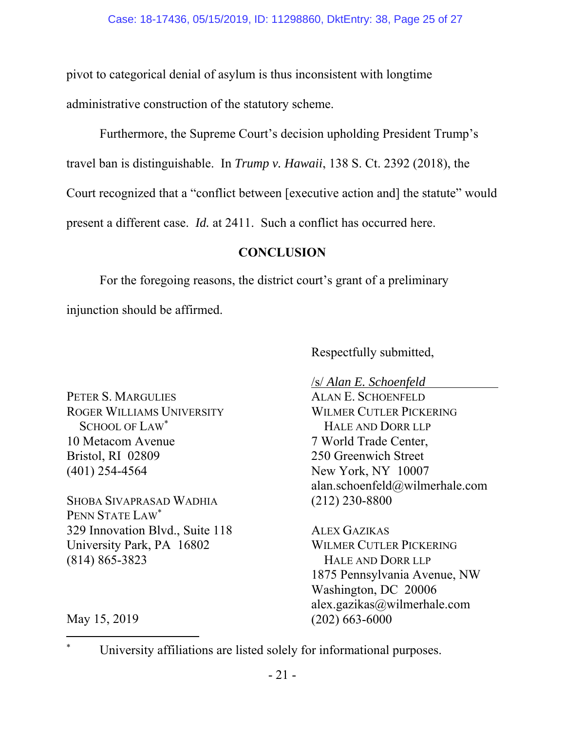pivot to categorical denial of asylum is thus inconsistent with longtime administrative construction of the statutory scheme.

Furthermore, the Supreme Court's decision upholding President Trump's

travel ban is distinguishable. In *Trump v. Hawaii*, 138 S. Ct. 2392 (2018), the

Court recognized that a "conflict between [executive action and] the statute" would

present a different case. *Id.* at 2411. Such a conflict has occurred here.

## **CONCLUSION**

For the foregoing reasons, the district court's grant of a preliminary

injunction should be affirmed.

Respectfully submitted,

/s/ *Alan E. Schoenfeld*

PETER S. MARGULIES ROGER WILLIAMS UNIVERSITY SCHOOL OF LAW\* 10 Metacom Avenue Bristol, RI 02809 (401) 254-4564

SHOBA SIVAPRASAD WADHIA PENN STATE LAW\* 329 Innovation Blvd., Suite 118 University Park, PA 16802 (814) 865-3823

ALAN E. SCHOENFELD WILMER CUTLER PICKERING HALE AND DORR LLP 7 World Trade Center, 250 Greenwich Street New York, NY 10007 alan.schoenfeld@wilmerhale.com (212) 230-8800

ALEX GAZIKAS WILMER CUTLER PICKERING HALE AND DORR LLP 1875 Pennsylvania Avenue, NW Washington, DC 20006 alex.gazikas@wilmerhale.com (202) 663-6000

May 15, 2019

 $\overline{a}$ 

<sup>\*</sup> University affiliations are listed solely for informational purposes.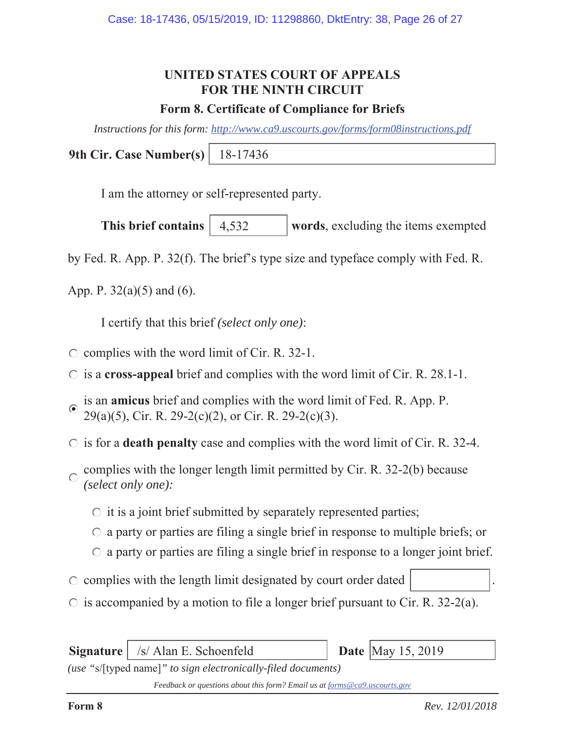# **UNITED STATES COURT OF APPEALS FOR THE NINTH CIRCUIT**

## **Form 8. Certificate of Compliance for Briefs**

*Instructions for this form: http://www.ca9.uscourts.gov/forms/form08instructions.pdf*

**9th Cir. Case Number(s)** 18-17436

I am the attorney or self-represented party.

**This brief contains** | 4,532 **words**, excluding the items exempted 4,532

by Fed. R. App. P. 32(f). The brief's type size and typeface comply with Fed. R.

App. P.  $32(a)(5)$  and  $(6)$ .

I certify that this brief *(select only one)*:

- $\circ$  complies with the word limit of Cir. R. 32-1.
- is a **cross-appeal** brief and complies with the word limit of Cir. R. 28.1-1.
- is an **amicus** brief and complies with the word limit of Fed. R. App. P.  $\odot$ 29(a)(5), Cir. R. 29-2(c)(2), or Cir. R. 29-2(c)(3).
- $\circ$  is for a **death penalty** case and complies with the word limit of Cir. R. 32-4.
- complies with the longer length limit permitted by Cir. R. 32-2(b) because  $\bigcap$ *(select only one):*
	- $\circ$  it is a joint brief submitted by separately represented parties;
	- $\circ$  a party or parties are filing a single brief in response to multiple briefs; or
	- $\circ$  a party or parties are filing a single brief in response to a longer joint brief.
- $\circ$  complies with the length limit designated by court order dated
- $\circ$  is accompanied by a motion to file a longer brief pursuant to Cir. R. 32-2(a).

**Signature** | /s/ Alan E. Schoenfeld **Date** | May 15, 2019

*(use "*s/[typed name]*" to sign electronically-filed documents)*

*Feedback or questions about this form? Email us at forms@ca9.uscourts.gov*